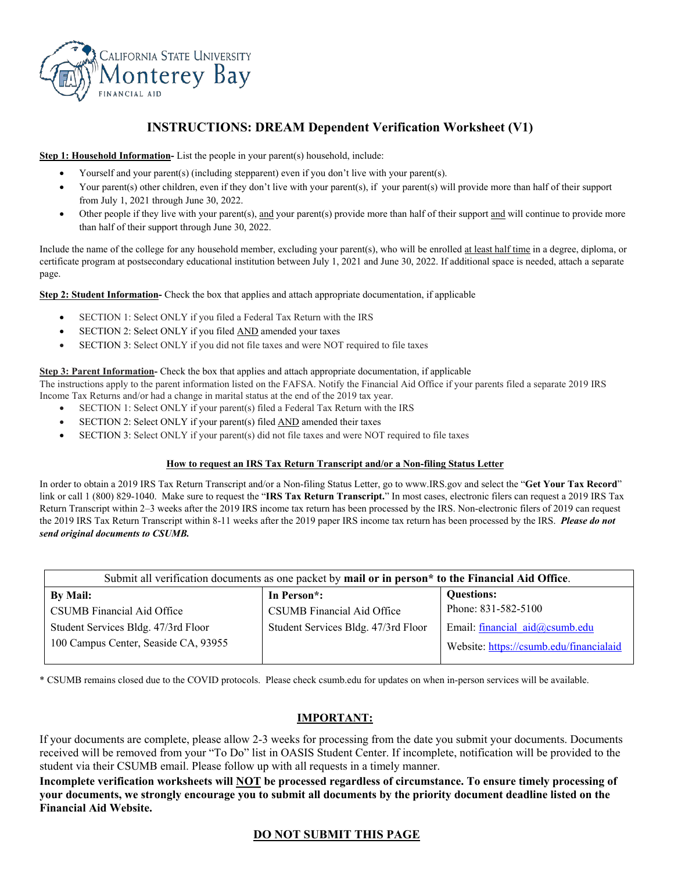

## **INSTRUCTIONS: DREAM Dependent Verification Worksheet (V1)**

**Step 1: Household Information-** List the people in your parent(s) household, include:

- Yourself and your parent(s) (including stepparent) even if you don't live with your parent(s).
- Your parent(s) other children, even if they don't live with your parent(s), if your parent(s) will provide more than half of their support from July 1, 2021 through June 30, 2022.
- Other people if they live with your parent(s), and your parent(s) provide more than half of their support and will continue to provide more than half of their support through June 30, 2022.

Include the name of the college for any household member, excluding your parent(s), who will be enrolled at least half time in a degree, diploma, or certificate program at postsecondary educational institution between July 1, 2021 and June 30, 2022. If additional space is needed, attach a separate page.

**Step 2: Student Information-** Check the box that applies and attach appropriate documentation, if applicable

- SECTION 1: Select ONLY if you filed a Federal Tax Return with the IRS
- SECTION 2: Select ONLY if you filed AND amended your taxes
- SECTION 3: Select ONLY if you did not file taxes and were NOT required to file taxes

#### **Step 3: Parent Information-** Check the box that applies and attach appropriate documentation, if applicable

The instructions apply to the parent information listed on the FAFSA. Notify the Financial Aid Office if your parents filed a separate 2019 IRS Income Tax Returns and/or had a change in marital status at the end of the 2019 tax year.

- SECTION 1: Select ONLY if your parent(s) filed a Federal Tax Return with the IRS
- SECTION 2: Select ONLY if your parent(s) filed AND amended their taxes
- SECTION 3: Select ONLY if your parent(s) did not file taxes and were NOT required to file taxes

#### **How to request an IRS Tax Return Transcript and/or a Non-filing Status Letter**

In order to obtain a 2019 IRS Tax Return Transcript and/or a Non-filing Status Letter, go to www.IRS.gov and select the "**Get Your Tax Record**" link or call 1 (800) 829-1040. Make sure to request the "**IRS Tax Return Transcript.**" In most cases, electronic filers can request a 2019 IRS Tax Return Transcript within 2–3 weeks after the 2019 IRS income tax return has been processed by the IRS. Non-electronic filers of 2019 can request the 2019 IRS Tax Return Transcript within 8-11 weeks after the 2019 paper IRS income tax return has been processed by the IRS. *Please do not send original documents to CSUMB.*

| Submit all verification documents as one packet by mail or in person <sup>*</sup> to the Financial Aid Office. |                                     |                                         |  |
|----------------------------------------------------------------------------------------------------------------|-------------------------------------|-----------------------------------------|--|
| By Mail:                                                                                                       | In Person <sup>*</sup> :            | <b>Questions:</b>                       |  |
| CSUMB Financial Aid Office                                                                                     | CSUMB Financial Aid Office          | Phone: 831-582-5100                     |  |
| Student Services Bldg. 47/3rd Floor                                                                            | Student Services Bldg. 47/3rd Floor | Email: financial aid@csumb.edu          |  |
| 100 Campus Center, Seaside CA, 93955                                                                           |                                     | Website: https://csumb.edu/financialaid |  |

\* CSUMB remains closed due to the COVID protocols. Please check csumb.edu for updates on when in-person services will be available.

### **IMPORTANT:**

If your documents are complete, please allow 2-3 weeks for processing from the date you submit your documents. Documents received will be removed from your "To Do" list in OASIS Student Center. If incomplete, notification will be provided to the student via their CSUMB email. Please follow up with all requests in a timely manner.

**Incomplete verification worksheets will NOT be processed regardless of circumstance. To ensure timely processing of your documents, we strongly encourage you to submit all documents by the priority document deadline listed on the Financial Aid Website.**

### **DO NOT SUBMIT THIS PAGE**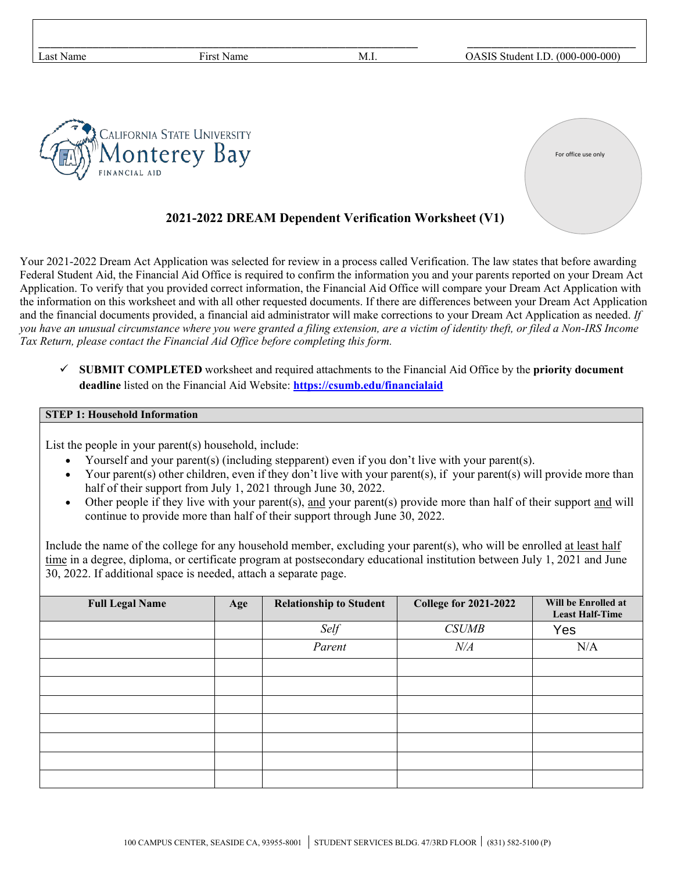| Last Name     | First Name                                  | M.I. | OASIS Student I.D. (000-000-000) |
|---------------|---------------------------------------------|------|----------------------------------|
| FINANCIAL AID | CALIFORNIA STATE UNIVERSITY<br>Monterey Bay |      | For office use only              |

## **2021-2022 DREAM Dependent Verification Worksheet (V1)**

Your 2021-2022 Dream Act Application was selected for review in a process called Verification. The law states that before awarding Federal Student Aid, the Financial Aid Office is required to confirm the information you and your parents reported on your Dream Act Application. To verify that you provided correct information, the Financial Aid Office will compare your Dream Act Application with the information on this worksheet and with all other requested documents. If there are differences between your Dream Act Application and the financial documents provided, a financial aid administrator will make corrections to your Dream Act Application as needed. *If you have an unusual circumstance where you were granted a filing extension, are a victim of identity theft, or filed a Non-IRS Income Tax Return, please contact the Financial Aid Office before completing this form.*

 **SUBMIT COMPLETED** worksheet and required attachments to the Financial Aid Office by the **priority document deadline** listed on the Financial Aid Website: **<https://csumb.edu/financialaid>**

#### **STEP 1: Household Information**

List the people in your parent(s) household, include:

- Yourself and your parent(s) (including stepparent) even if you don't live with your parent(s).
- Your parent(s) other children, even if they don't live with your parent(s), if your parent(s) will provide more than half of their support from July 1, 2021 through June 30, 2022.
- Other people if they live with your parent(s), and your parent(s) provide more than half of their support and will continue to provide more than half of their support through June 30, 2022.

Include the name of the college for any household member, excluding your parent(s), who will be enrolled at least half time in a degree, diploma, or certificate program at postsecondary educational institution between July 1, 2021 and June 30, 2022. If additional space is needed, attach a separate page.

| <b>Full Legal Name</b> | Age | <b>Relationship to Student</b> | <b>College for 2021-2022</b> | Will be Enrolled at<br><b>Least Half-Time</b> |
|------------------------|-----|--------------------------------|------------------------------|-----------------------------------------------|
|                        |     | Self                           | <b>CSUMB</b>                 | Yes                                           |
|                        |     | Parent                         | $N\!/\!A$                    | N/A                                           |
|                        |     |                                |                              |                                               |
|                        |     |                                |                              |                                               |
|                        |     |                                |                              |                                               |
|                        |     |                                |                              |                                               |
|                        |     |                                |                              |                                               |
|                        |     |                                |                              |                                               |
|                        |     |                                |                              |                                               |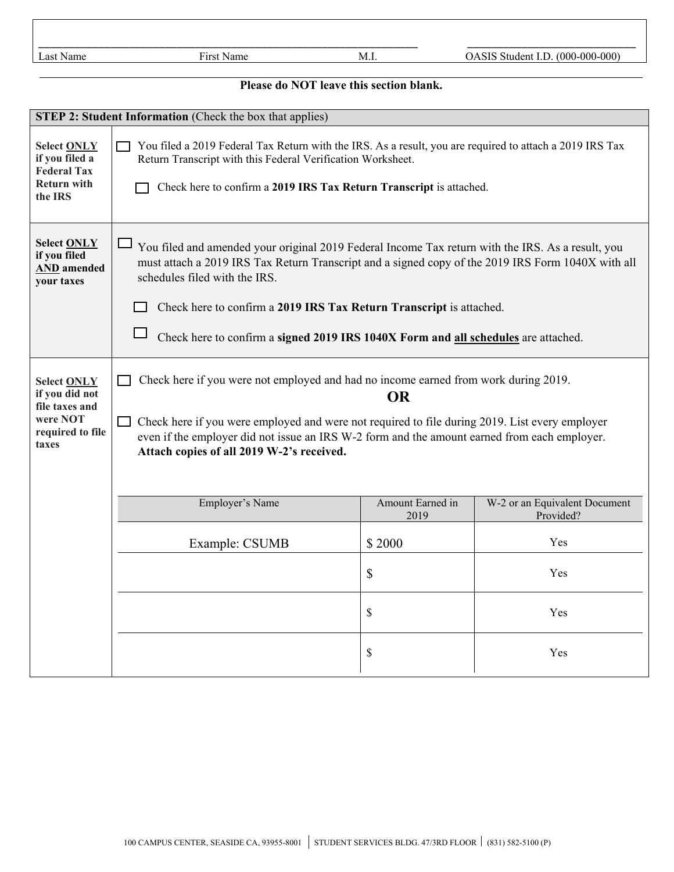|                            |                    |      | ________                                                     |
|----------------------------|--------------------|------|--------------------------------------------------------------|
| -<br>ast۔<br>$\sim$<br>анк | --<br>$-111$<br>łа | -M.i | $000^{\circ}$<br>700C<br>0-000<br>"ulder"<br>יי<br>$\cdot$ . |

# **Please do NOT leave this section blank.**

| STEP 2: Student Information (Check the box that applies)                                        |                                                                                                                                                                                                                                                                                                                                                                                                                 |                          |                                            |  |
|-------------------------------------------------------------------------------------------------|-----------------------------------------------------------------------------------------------------------------------------------------------------------------------------------------------------------------------------------------------------------------------------------------------------------------------------------------------------------------------------------------------------------------|--------------------------|--------------------------------------------|--|
| <b>Select ONLY</b><br>if you filed a<br><b>Federal Tax</b><br><b>Return with</b><br>the IRS     | You filed a 2019 Federal Tax Return with the IRS. As a result, you are required to attach a 2019 IRS Tax<br>Return Transcript with this Federal Verification Worksheet.<br>Check here to confirm a 2019 IRS Tax Return Transcript is attached.                                                                                                                                                                  |                          |                                            |  |
| <b>Select ONLY</b><br>if you filed<br><b>AND</b> amended<br>your taxes                          | $\Box$<br>You filed and amended your original 2019 Federal Income Tax return with the IRS. As a result, you<br>must attach a 2019 IRS Tax Return Transcript and a signed copy of the 2019 IRS Form 1040X with all<br>schedules filed with the IRS.<br>Check here to confirm a 2019 IRS Tax Return Transcript is attached.<br>Check here to confirm a signed 2019 IRS 1040X Form and all schedules are attached. |                          |                                            |  |
| <b>Select ONLY</b><br>if you did not<br>file taxes and<br>were NOT<br>required to file<br>taxes | Check here if you were not employed and had no income earned from work during 2019.<br><b>OR</b><br>Check here if you were employed and were not required to file during 2019. List every employer<br>even if the employer did not issue an IRS W-2 form and the amount earned from each employer.<br>Attach copies of all 2019 W-2's received.                                                                 |                          |                                            |  |
|                                                                                                 | Employer's Name                                                                                                                                                                                                                                                                                                                                                                                                 | Amount Earned in<br>2019 | W-2 or an Equivalent Document<br>Provided? |  |
|                                                                                                 | Example: CSUMB                                                                                                                                                                                                                                                                                                                                                                                                  | \$2000                   | Yes                                        |  |
|                                                                                                 |                                                                                                                                                                                                                                                                                                                                                                                                                 | \$                       | Yes                                        |  |
|                                                                                                 |                                                                                                                                                                                                                                                                                                                                                                                                                 | \$                       | Yes                                        |  |
|                                                                                                 |                                                                                                                                                                                                                                                                                                                                                                                                                 | \$                       | Yes                                        |  |